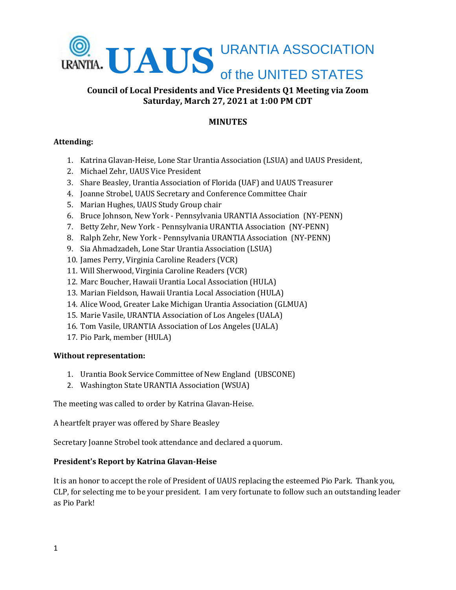

## **Council of Local Presidents and Vice Presidents Q1 Meeting via Zoom Saturday, March 27, 2021 at 1:00 PM CDT**

# **MINUTES**

## **Attending:**

- 1. Katrina Glavan-Heise, Lone Star Urantia Association (LSUA) and UAUS President,
- 2. Michael Zehr, UAUS Vice President
- 3. Share Beasley, Urantia Association of Florida (UAF) and UAUS Treasurer
- 4. Joanne Strobel, UAUS Secretary and Conference Committee Chair
- 5. Marian Hughes, UAUS Study Group chair
- 6. Bruce Johnson, New York Pennsylvania URANTIA Association (NY-PENN)
- 7. Betty Zehr, New York Pennsylvania URANTIA Association (NY-PENN)
- 8. Ralph Zehr, New York Pennsylvania URANTIA Association (NY-PENN)
- 9. Sia Ahmadzadeh, Lone Star Urantia Association (LSUA)
- 10. James Perry, Virginia Caroline Readers (VCR)
- 11. Will Sherwood, Virginia Caroline Readers (VCR)
- 12. Marc Boucher, Hawaii Urantia Local Association (HULA)
- 13. Marian Fieldson, Hawaii Urantia Local Association (HULA)
- 14. Alice Wood, Greater Lake Michigan Urantia Association (GLMUA)
- 15. Marie Vasile, URANTIA Association of Los Angeles (UALA)
- 16. Tom Vasile, URANTIA Association of Los Angeles (UALA)
- 17. Pio Park, member (HULA)

#### **Without representation:**

- 1. Urantia Book Service Committee of New England (UBSCONE)
- 2. Washington State URANTIA Association (WSUA)

The meeting was called to order by Katrina Glavan-Heise.

A heartfelt prayer was offered by Share Beasley

Secretary Joanne Strobel took attendance and declared a quorum.

#### **President's Report by Katrina Glavan-Heise**

It is an honor to accept the role of President of UAUS replacing the esteemed Pio Park. Thank you, CLP, for selecting me to be your president. I am very fortunate to follow such an outstanding leader as Pio Park!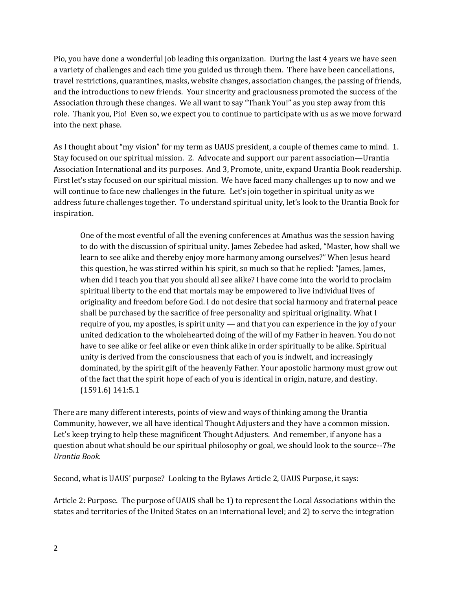Pio, you have done a wonderful job leading this organization. During the last 4 years we have seen a variety of challenges and each time you guided us through them. There have been cancellations, travel restrictions, quarantines, masks, website changes, association changes, the passing of friends, and the introductions to new friends. Your sincerity and graciousness promoted the success of the Association through these changes. We all want to say "Thank You!" as you step away from this role. Thank you, Pio! Even so, we expect you to continue to participate with us as we move forward into the next phase.

As I thought about "my vision" for my term as UAUS president, a couple of themes came to mind. 1. Stay focused on our spiritual mission. 2. Advocate and support our parent association—Urantia Association International and its purposes. And 3, Promote, unite, expand Urantia Book readership. First let's stay focused on our spiritual mission. We have faced many challenges up to now and we will continue to face new challenges in the future. Let's join together in spiritual unity as we address future challenges together. To understand spiritual unity, let's look to the Urantia Book for inspiration.

One of the most eventful of all the evening conferences at Amathus was the session having to do with the discussion of spiritual unity. James Zebedee had asked, "Master, how shall we learn to see alike and thereby enjoy more harmony among ourselves?" When Jesus heard this question, he was stirred within his spirit, so much so that he replied: "James, James, when did I teach you that you should all see alike? I have come into the world to proclaim spiritual liberty to the end that mortals may be empowered to live individual lives of originality and freedom before God. I do not desire that social harmony and fraternal peace shall be purchased by the sacrifice of free personality and spiritual originality. What I require of you, my apostles, is spirit unity — and that you can experience in the joy of your united dedication to the wholehearted doing of the will of my Father in heaven. You do not have to see alike or feel alike or even think alike in order spiritually to be alike. Spiritual unity is derived from the consciousness that each of you is indwelt, and increasingly dominated, by the spirit gift of the heavenly Father. Your apostolic harmony must grow out of the fact that the spirit hope of each of you is identical in origin, nature, and destiny. (1591.6) 141:5.1

There are many different interests, points of view and ways of thinking among the Urantia Community, however, we all have identical Thought Adjusters and they have a common mission. Let's keep trying to help these magnificent Thought Adjusters. And remember, if anyone has a question about what should be our spiritual philosophy or goal, we should look to the source--*The Urantia Book.*

Second, what is UAUS' purpose? Looking to the Bylaws Article 2, UAUS Purpose, it says:

Article 2: Purpose. The purpose of UAUS shall be 1) to represent the Local Associations within the states and territories of the United States on an international level; and 2) to serve the integration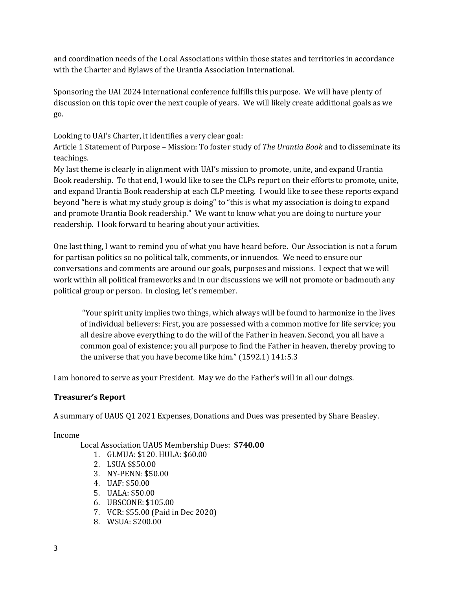and coordination needs of the Local Associations within those states and territories in accordance with the Charter and Bylaws of the Urantia Association International.

Sponsoring the UAI 2024 International conference fulfills this purpose. We will have plenty of discussion on this topic over the next couple of years. We will likely create additional goals as we go.

Looking to UAI's Charter, it identifies a very clear goal:

Article 1 Statement of Purpose – Mission: To foster study of *The Urantia Book* and to disseminate its teachings.

My last theme is clearly in alignment with UAI's mission to promote, unite, and expand Urantia Book readership. To that end, I would like to see the CLPs report on their efforts to promote, unite, and expand Urantia Book readership at each CLP meeting. I would like to see these reports expand beyond "here is what my study group is doing" to "this is what my association is doing to expand and promote Urantia Book readership." We want to know what you are doing to nurture your readership. I look forward to hearing about your activities.

One last thing, I want to remind you of what you have heard before. Our Association is not a forum for partisan politics so no political talk, comments, or innuendos. We need to ensure our conversations and comments are around our goals, purposes and missions. I expect that we will work within all political frameworks and in our discussions we will not promote or badmouth any political group or person. In closing, let's remember.

"Your spirit unity implies two things, which always will be found to harmonize in the lives of individual believers: First, you are possessed with a common motive for life service; you all desire above everything to do the will of the Father in heaven. Second, you all have a common goal of existence; you all purpose to find the Father in heaven, thereby proving to the universe that you have become like him." (1592.1) 141:5.3

I am honored to serve as your President. May we do the Father's will in all our doings.

#### **Treasurer's Report**

A summary of UAUS Q1 2021 Expenses, Donations and Dues was presented by Share Beasley.

Income

Local Association UAUS Membership Dues: **\$740.00**

- 1. GLMUA: \$120. HULA: \$60.00
- 2. LSUA \$\$50.00
- 3. NY-PENN: \$50.00
- 4. UAF: \$50.00
- 5. UALA: \$50.00
- 6. UBSCONE: \$105.00
- 7. VCR: \$55.00 (Paid in Dec 2020)
- 8. WSUA: \$200.00